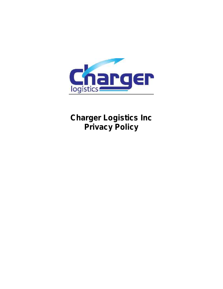

# **Charger Logistics Inc Privacy Policy**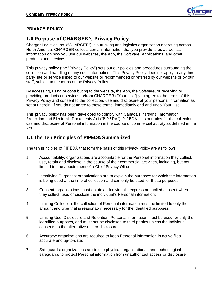

#### **PRIVACY POLICY**

# **1.0 Purpose of CHARGER's Privacy Policy**

Charger Logistics Inc. ("CHARGER") is a trucking and logistics organization operating across North America. CHARGER collects certain information that you provide to us as well as information on how you use our websites, the App, the Software, Applications, and other products and services.

This privacy policy (the "Privacy Policy") sets out our policies and procedures surrounding the collection and handling of any such information. This Privacy Policy does not apply to any third party site or service linked to our website or recommended or referred by our website or by our staff, subject to the terms of the Privacy Policy.

By accessing, using or contributing to the website, the App, the Software, or receiving or providing products or services to/from CHARGER ("Your Use") you agree to the terms of this Privacy Policy and consent to the collection, use and disclosure of your personal information as set out herein. If you do not agree to these terms, immediately end and undo Your Use.

This privacy policy has been developed to comply with Canada's *Personal Information Protection and Electronic Documents Act* ("*PIPEDA"*). *PIPEDA* sets out rules for the collection, use and disclosure of Personal information in the course of commercial activity as defined in the Act.

### **1.1 The Ten Principles of** *PIPEDA* **Summarized**

The ten principles of *PIPEDA* that form the basis of this Privacy Policy are as follows:

- 1. Accountability: organizations are accountable for the Personal information they collect, use, retain and disclose in the course of their commercial activities, including, but not limited to, the appointment of a Chief Privacy Officer;
- 2. Identifying Purposes: organizations are to explain the purposes for which the information is being used at the time of collection and can only be used for those purposes;
- 3. Consent: organizations must obtain an Individual's express or implied consent when they collect, use, or disclose the individual's Personal information;
- 4. Limiting Collection: the collection of Personal information must be limited to only the amount and type that is reasonably necessary for the identified purposes;
- 5. Limiting Use, Disclosure and Retention: Personal information must be used for only the identified purposes, and must not be disclosed to third parties unless the Individual consents to the alternative use or disclosure;
- 6. Accuracy: organizations are required to keep Personal information in active files accurate and up-to-date;
- 7. Safeguards: organizations are to use physical, organizational, and technological safeguards to protect Personal information from unauthorized access or disclosure.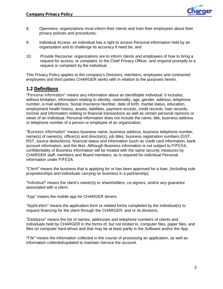

- 8. Openness: organizations must inform their clients and train their employees about their privacy policies and procedures;
- 9. Individual Access: an individual has a right to access Personal information held by an organization and to challenge its accuracy if need be; and
- 10. Provide Recourse: organizations are to inform clients and employees of how to bring a request for access, or complaint, to the Chief Privacy Officer, and respond promptly to a request or complaint by the individual.

This Privacy Policy applies to the company's Directors, members, employees and contracted employees and third parties CHARGER works with in relation to the purposes herein.

### **1.2 Definitions**

"*Personal information*" means any information about an identifiable individual. It includes, without limitation, information relating to identity, nationality, age, gender, address, telephone number, e-mail address, Social Insurance Number, date of birth, marital status, education, employment health history, assets, liabilities, payment records, credit records, loan records, income and information relating to financial transactions as well as certain personal opinions or views of an Individual. Personal information does not include the name, title, business address or telephone number of a person or employee of an organization.

"*Business information*" means business name, business address, business telephone number, name(s) of owner(s), officer(s) and director(s), job titles, business registration numbers (GST, RST, source deductions), financial status and information (such as credit card information, bank account information, and the like). Although Business information is not subject to *PIPEDA*, confidentiality of Business information will be treated with the same security measures by CHARGER staff, members and Board members, as is required for individual Personal information under *PIPEDA.*

*"Client"* means the business that is applying for or has been approved for a loan, (including sole proprietorships and individuals carrying on business in a partnership);

*"Individual"* means the client's owner(s) or shareholders, co-signors, and/or any guarantor associated with a client.

"*App*" means the mobile app for CHARGER drivers.

"*Application"* means the application form or related forms completed by the individual(s) to request financing for the client through the CHARGER, and or its divisions.

*"Database"* means the list of names, addresses and telephone numbers of clients and individuals held by CHARGER in the forms of, but not limited to, computer files, paper files, and files on computer hard-drives and that may be at least partly in the Software and/or the App.

"*File"* means the information collected in the course of processing an application, as well as information collected/updated to maintain /service the account.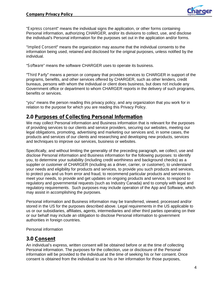

"*Express consent*" means the individual signs the application, or other forms containing Personal information, authorizing CHARGER, and/or its divisions to collect, use, and disclose the individual's Personal information for the purposes set out in the application and/or forms.

"*Implied Consent"* means the organization may assume that the individual consents to the information being used, retained and disclosed for the original purposes, unless notified by the individual.

"*Software*" means the software CHARGER uses to operate its business.

*"Third Party"* means a person or company that provides services to CHARGER in support of the programs, benefits, and other services offered by CHARGER, such as other lenders, credit bureaus, persons with whom the individual or client does business, but does *not* include any Government office or department to whom CHARGER reports in the delivery of such programs, benefits or services.

"*you*" means the person reading this privacy policy, and any organization that you work for in relation to the purpose for which you are reading this Privacy Policy.

### **2.0 Purposes of Collecting Personal Information**

We may collect Personal information and Business information that is relevant for the purposes of providing services to our clients and service providers, securing our websites, meeting our legal obligations, promoting, advertising and marketing our services and, in some cases, the products and services of our clients and researching and developing new products, services and techniques to improve our services, business or websites.

Specifically, and without limiting the generality of the preceding paragraph, we collect, use and disclose Personal information and Business information for the following purposes: to identify you, to determine your suitability (including credit worthiness and background checks) as a supplier or customer of CHARGER (including as a driver, carrier, or customer), to understand your needs and eligibility for products and services, to provide you such products and services, to protect you and us from error and fraud, to recommend particular products and services to meet your needs, to provide and get updates on ongoing products and service, to respond to regulatory and governmental requests (such as Industry Canada) and to comply with legal and regulatory requirements. Such purposes may include operation of the App and Software, which may assist in accomplishing the purposes.

Personal information and Business information may be transferred, viewed, processed and/or stored in the US for the purposes described above. Legal requirements in the US applicable to us or our subsidiaries, affiliates, agents, intermediaries and other third parties operating on their or our behalf may include an obligation to disclose Personal information to government authorities in foreign countries.

Personal information

#### **3.0 Consent**

An individual's express, written consent will be obtained before or at the time of collecting Personal information. The purposes for the collection, use or disclosure of the Personal information will be provided to the individual at the time of seeking his or her consent. Once consent is obtained from the individual to use his or her information for those purposes,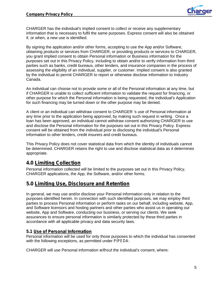

CHARGER has the individual's implied consent to collect or receive any supplementary information that is necessary to fulfil the same purposes. Express consent will also be obtained if, or when, a new use is identified.

By signing the application and/or other forms, accepting to use the App and/or Software, obtaining products or services from CHARGER, or providing products or services to CHARGER, you grant implied consent to obtain Personal information or Business information for the purposes set out in this Privacy Policy, including to obtain and/or to verify information from third parties such as banks, credit bureaus, other lenders, and insurance companies in the process of assessing the eligibility of an individual, supplier, or customer. Implied consent is also granted by the individual to permit CHARGER to report or otherwise disclose information to Industry Canada.

An individual can choose not to provide some or all of the Personal information at any time, but if CHARGER is unable to collect sufficient information to validate the request for financing, or other purpose for which the Personal information is being requested, the individual's Application for such financing may be turned down or the other purpose may be denied.

A client or an individual can withdraw consent to CHARGER 's use of Personal information at any time prior to the application being approved, by making such request in writing. Once a loan has been approved, an individual cannot withdraw consent authorizing CHARGER to use and disclose the Personal information for the purposes set out in this Privacy Policy. Express consent will be obtained from the individual prior to disclosing the individual's Personal information to other lenders, credit insurers and credit bureaus.

This Privacy Policy does not cover statistical data from which the identity of individuals cannot be determined. CHARGER retains the right to use and disclose statistical data as it determines appropriate.

# **4.0 Limiting Collection**

Personal information collected will be limited to the purposes set out in this Privacy Policy, CHARGER applications, the App, the Software, and/or other forms.

# **5.0 Limiting Use, Disclosure and Retention**

In general, we may use and/or disclose your Personal information only in relation to the purposes identified herein. In connection with such identified purposes, we may employ third parties to process Personal information or perform tasks on our behalf, including website, App, and Software licensors and hosting partners and other parties who assist us in operating our website, App and Software, conducting our business, or serving our clients. We seek assurances to ensure personal information is similarly protected by these third parties in accordance with all applicable privacy and data security laws.

#### **5.1 Use of Personal Information**

Personal information will be used for only those purposes to which the individual has consented with the following exceptions, as permitted under *PIPEDA*:

CHARGER will use Personal information *without* the individual's consent, where: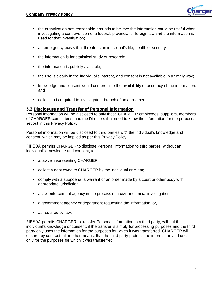

- the organization has reasonable grounds to believe the information could be useful when investigating a contravention of a federal, provincial or foreign law *and* the information is used for that investigation;
- an emergency exists that threatens an individual's life, health or security;
- the information is for statistical study or research;
- ) the information is publicly available;
- the use is clearly in the individual's interest, and consent is not available in a timely way;
- knowledge and consent would compromise the availability or accuracy of the information, and
- collection is required to investigate a breach of an agreement.

#### **5.2 Disclosure and Transfer of Personal Information**

Personal information will be disclosed to only those CHARGER employees, suppliers, members of CHARGER committees, and the Directors that need to know the information for the purposes set out in this Privacy Policy.

Personal information will be disclosed to third parties *with* the individual's knowledge and consent, which may be implied as per this Privacy Policy.

*PIPEDA* permits CHARGER to *disclose* Personal information to third parties, *without* an individual's knowledge and consent, to:

- a lawyer representing CHARGER;
- collect a debt owed to CHARGER by the individual or client;
- comply with a subpoena, a warrant or an order made by a court or other body with appropriate jurisdiction;
- a law enforcement agency in the process of a civil or criminal investigation;
- a government agency or department requesting the information; or,
- as required by law.

*PIPEDA* permits CHARGER to *transfer* Personal information to a third party, *without* the individual's knowledge or consent, if the transfer is simply for processing purposes and the third party only uses the information for the purposes for which it was transferred. CHARGER will ensure, by contractual or other means, that the third party protects the information and uses it only for the purposes for which it was transferred.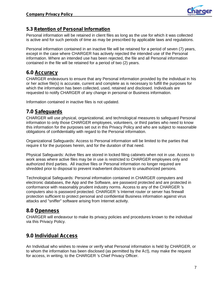

### **5.3 Retention of Personal Information**

Personal information will be retained in client files as long as the use for which it was collected is active and for such periods of time as may be prescribed by applicable laws and regulations.

Personal information contained in an inactive file will be retained for a period of seven (7) years, except in the case where CHARGER has actively rejected the intended use of the Personal information. Where an intended use has been rejected, the file and all Personal information contained in the file will be retained for a period of two (2) years.

# **6.0 Accuracy**

CHARGER endeavours to ensure that any Personal information provided by the individual in his or her active file(s) is accurate, current and complete as is necessary to fulfill the purposes for which the information has been collected, used, retained and disclosed. Individuals are requested to notify CHARGER of any change in personal or Business information.

Information contained in inactive files is not updated.

# **7.0 Safeguards**

CHARGER will use physical, organizational, and technological measures to safeguard Personal information to only those CHARGER employees, volunteers, or third parties who need to know this information for the purposes set out in this Privacy Policy and who are subject to reasonable obligations of confidentiality with regard to the Personal information.

Organizational Safeguards: Access to Personal information will be limited to the parties that require it for the purposes herein, and for the duration of that need.

Physical Safeguards: Active files are stored in locked filing cabinets when not in use. Access to work areas where active files may be in use is restricted to CHARGER employees only and authorized third parties. All inactive files or Personal information no longer required are shredded prior to disposal to prevent inadvertent disclosure to unauthorized persons.

Technological Safeguards: Personal information contained in CHARGER computers and electronic databases, the App and the Software, are password protected and are protected in conformance with reasonably prudent industry norms*.* Access to any of the CHARGER 's computers also is password protected. CHARGER 's Internet router or server has firewall protection sufficient to protect personal and confidential Business information against virus attacks and "sniffer" software arising from Internet activity.

# **8.0 Openness**

CHARGER will endeavour to make its privacy policies and procedures known to the individual via this Privacy Policy.

# **9.0 Individual Access**

An Individual who wishes to review or verify what Personal information is held by CHARGER, or to whom the information has been disclosed (as permitted by the *Act*), may make the request for access, in writing, to the CHARGER 's Chief Privacy Officer.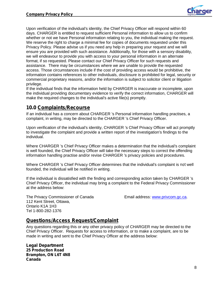Upon verification of the individual's identity, the Chief Privacy Officer will respond within 60 days. CHARGER is entitled to request sufficient Personal information to allow us to confirm whether or not we have Personal information relating to you, the individual making the request. We reserve the right to charge a minimal fee for copies of documents requested under this Privacy Policy. Please advise us if you need any help in preparing your request and we will ensure you are provided with such assistance. Additionally, for those with a sensory disability, we will endeavour to provide you with access to your personal information in an alternate format, if so requested. Please contact our Chief Privacy Officer for such requests and assistance. There may be circumstances where we are unable to provide the requested access. Those circumstances include if the cost of providing access would be prohibitive, the information contains references to other individuals, disclosure is prohibited for legal, security or commercial proprietary reasons, and/or the information is subject to solicitor client or litigation privilege.

If the individual finds that the information held by CHARGER is inaccurate or incomplete, upon the individual providing documentary evidence to verify the correct information, CHARGER will make the required changes to the individual's active file(s) promptly.

### **10.0 Complaints/Recourse**

If an individual has a concern about CHARGER 's Personal information handling practises, a complaint, in writing, may be directed to the CHARGER 's Chief Privacy Officer.

Upon verification of the individual's identity, CHARGER 's Chief Privacy Officer will act promptly to investigate the complaint and provide a written report of the investigation's findings to the individual.

Where CHARGER 's Chief Privacy Officer makes a determination that the individual's complaint is well founded, the Chief Privacy Officer will take the necessary steps to correct the offending information handling practise and/or revise CHARGER 's privacy policies and procedures.

Where CHARGER 's Chief Privacy Officer determines that the individual's complaint is *not*well founded, the individual will be notified in writing.

If the individual is dissatisfied with the finding and corresponding action taken by CHARGER 's Chief Privacy Officer, the individual may bring a complaint to the Federal Privacy Commissioner at the address below:

The Privacy Commissioner of Canada **Email address: www.privcom.gc.ca.** 112 Kent Street, Ottawa, Ontario K1A 1H3 Tel 1-800-282-1376

### **Questions/Access Request/Complaint**

Any questions regarding this or any other privacy policy of CHARGER may be directed to the Chief Privacy Officer. Requests for access to information, or to make a complaint, are to be made in writing and sent to the Chief Privacy Officer at the address below:

**Legal Department 25 Production Road Brampton, ON L6T 4N8 Canada**